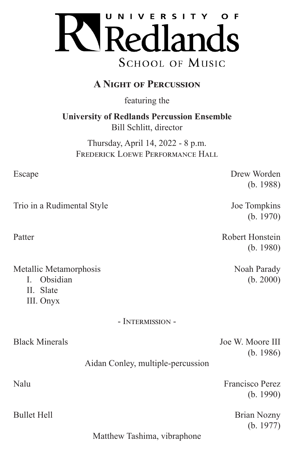

# **A Night of Percussion**

featuring the

**University of Redlands Percussion Ensemble** Bill Schlitt, director

Thursday, April 14, 2022 - 8 p.m. FREDERICK LOEWE PERFORMANCE HALL

Escape Drew Worden

Trio in a Rudimental Style Joe Tompkins

Patter Robert Honstein

Metallic Metamorphosis Noah Parady

- I. Obsidian (b. 2000)
- II. Slate
- III. Onyx

### - Intermission -

Black Minerals **Black Minerals** Joe W. Moore III

(b. 1986)

(b. 1988)

(b. 1970)

(b. 1980)

### Aidan Conley, multiple-percussion

Nalu Francisco Perez

Bullet Hell Brian Nozny (b. 1977)

(b. 1990)

Matthew Tashima, vibraphone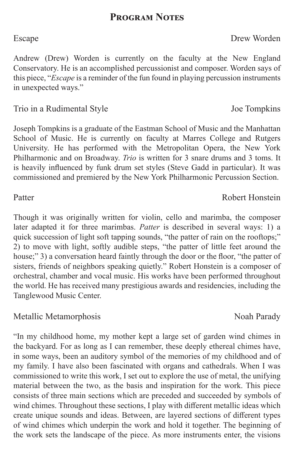## **Program Notes**

### Escape Drew Worden

Andrew (Drew) Worden is currently on the faculty at the New England Conservatory. He is an accomplished percussionist and composer. Worden says of this piece, "*Escape* is a reminder of the fun found in playing percussion instruments in unexpected ways."

### Trio in a Rudimental Style Joe Tompkins

Joseph Tompkins is a graduate of the Eastman School of Music and the Manhattan School of Music. He is currently on faculty at Marres College and Rutgers University. He has performed with the Metropolitan Opera, the New York Philharmonic and on Broadway. *Trio* is written for 3 snare drums and 3 toms. It is heavily influenced by funk drum set styles (Steve Gadd in particular). It was commissioned and premiered by the New York Philharmonic Percussion Section.

Though it was originally written for violin, cello and marimba, the composer later adapted it for three marimbas. *Patter* is described in several ways: 1) a quick succession of light soft tapping sounds, "the patter of rain on the rooftops;" 2) to move with light, softly audible steps, "the patter of little feet around the house;" 3) a conversation heard faintly through the door or the floor, "the patter of sisters, friends of neighbors speaking quietly." Robert Honstein is a composer of orchestral, chamber and vocal music. His works have been performed throughout the world. He has received many prestigious awards and residencies, including the Tanglewood Music Center.

### Metallic Metamorphosis Noah Parady

"In my childhood home, my mother kept a large set of garden wind chimes in the backyard. For as long as I can remember, these deeply ethereal chimes have, in some ways, been an auditory symbol of the memories of my childhood and of my family. I have also been fascinated with organs and cathedrals. When I was commissioned to write this work, I set out to explore the use of metal, the unifying material between the two, as the basis and inspiration for the work. This piece consists of three main sections which are preceded and succeeded by symbols of wind chimes. Throughout these sections, I play with different metallic ideas which create unique sounds and ideas. Between, are layered sections of different types of wind chimes which underpin the work and hold it together. The beginning of the work sets the landscape of the piece. As more instruments enter, the visions

Patter Robert Honstein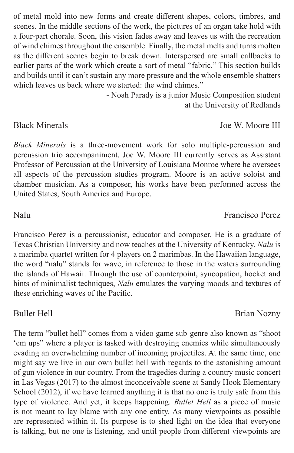of metal mold into new forms and create different shapes, colors, timbres, and scenes. In the middle sections of the work, the pictures of an organ take hold with a four-part chorale. Soon, this vision fades away and leaves us with the recreation of wind chimes throughout the ensemble. Finally, the metal melts and turns molten as the different scenes begin to break down. Interspersed are small callbacks to earlier parts of the work which create a sort of metal "fabric." This section builds and builds until it can't sustain any more pressure and the whole ensemble shatters which leaves us back where we started: the wind chimes."

- Noah Parady is a junior Music Composition student at the University of Redlands

*Black Minerals* is a three-movement work for solo multiple-percussion and percussion trio accompaniment. Joe W. Moore III currently serves as Assistant Professor of Percussion at the University of Louisiana Monroe where he oversees all aspects of the percussion studies program. Moore is an active soloist and chamber musician. As a composer, his works have been performed across the United States, South America and Europe.

Francisco Perez is a percussionist, educator and composer. He is a graduate of Texas Christian University and now teaches at the University of Kentucky. *Nalu* is a marimba quartet written for 4 players on 2 marimbas. In the Hawaiian language, the word "nalu" stands for wave, in reference to those in the waters surrounding the islands of Hawaii. Through the use of counterpoint, syncopation, hocket and hints of minimalist techniques, *Nalu* emulates the varying moods and textures of these enriching waves of the Pacific.

The term "bullet hell" comes from a video game sub-genre also known as "shoot 'em ups" where a player is tasked with destroying enemies while simultaneously evading an overwhelming number of incoming projectiles. At the same time, one might say we live in our own bullet hell with regards to the astonishing amount of gun violence in our country. From the tragedies during a country music concert in Las Vegas (2017) to the almost inconceivable scene at Sandy Hook Elementary School (2012), if we have learned anything it is that no one is truly safe from this type of violence. And yet, it keeps happening. *Bullet Hell* as a piece of music is not meant to lay blame with any one entity. As many viewpoints as possible are represented within it. Its purpose is to shed light on the idea that everyone is talking, but no one is listening, and until people from different viewpoints are

Bullet Hell Brian Nozny

### Black Minerals **Black Minerals** Joe W. Moore III

Nalu Francisco Perez